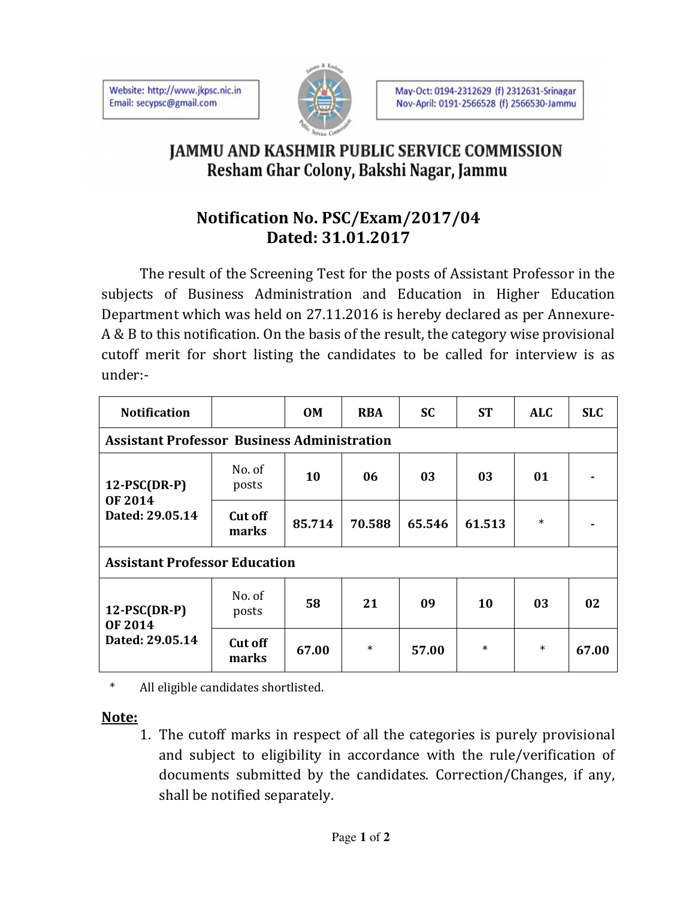Website: http://www.jkpsc.nic.in Email: secypsc@gmail.com



## **JAMMU AND KASHMIR PUBLIC SERVICE COMMISSION** Resham Ghar Colony, Bakshi Nagar, Jammu

## **Notification No. PSC/Exam/2017/04 Dated: 31.01.2017**

The result of the Screening Test for the posts of Assistant Professor in the subjects of Business Administration and Education in Higher Education Department which was held on 27.11.2016 is hereby declared as per Annexure-A & B to this notification. On the basis of the result, the category wise provisional cutoff merit for short listing the candidates to be called for interview is as under:-

| <b>Notification</b>                                  |                         | <b>OM</b> | <b>RBA</b> | <b>SC</b> | <b>ST</b> | <b>ALC</b> | <b>SLC</b> |
|------------------------------------------------------|-------------------------|-----------|------------|-----------|-----------|------------|------------|
| <b>Assistant Professor Business Administration</b>   |                         |           |            |           |           |            |            |
| $12$ -PSC(DR-P)<br><b>OF 2014</b><br>Dated: 29.05.14 | No. of<br>posts         | 10        | 06         | 03        | 03        | 01         |            |
|                                                      | <b>Cut off</b><br>marks | 85.714    | 70.588     | 65.546    | 61.513    | $\ast$     |            |
| <b>Assistant Professor Education</b>                 |                         |           |            |           |           |            |            |
| $12$ -PSC(DR-P)<br><b>OF 2014</b><br>Dated: 29.05.14 | No. of<br>posts         | 58        | 21         | 09        | 10        | 03         | 02         |
|                                                      | <b>Cut off</b><br>marks | 67.00     | $\ast$     | 57.00     | $\ast$    | $\ast$     | 67.00      |

\* All eligible candidates shortlisted.

## **Note:**

1. The cutoff marks in respect of all the categories is purely provisional and subject to eligibility in accordance with the rule/verification of documents submitted by the candidates. Correction/Changes, if any, shall be notified separately.